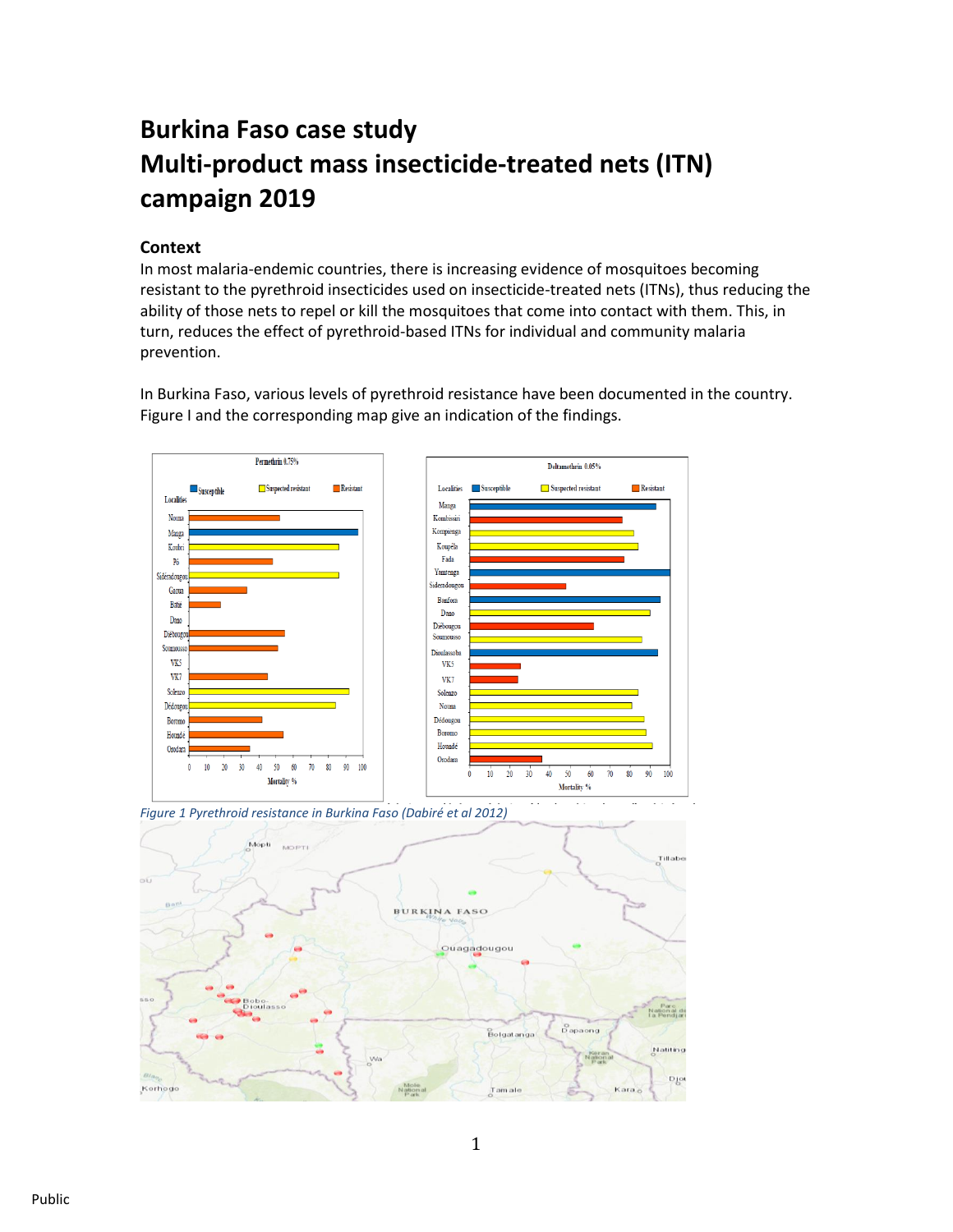# **Burkina Faso case study Multi-product mass insecticide-treated nets (ITN) campaign 2019**

# **Context**

In most malaria-endemic countries, there is increasing evidence of mosquitoes becoming resistant to the pyrethroid insecticides used on insecticide-treated nets (ITNs), thus reducing the ability of those nets to repel or kill the mosquitoes that come into contact with them. This, in turn, reduces the effect of pyrethroid-based ITNs for individual and community malaria prevention.

In Burkina Faso, various levels of pyrethroid resistance have been documented in the country. Figure I and the corresponding map give an indication of the findings.



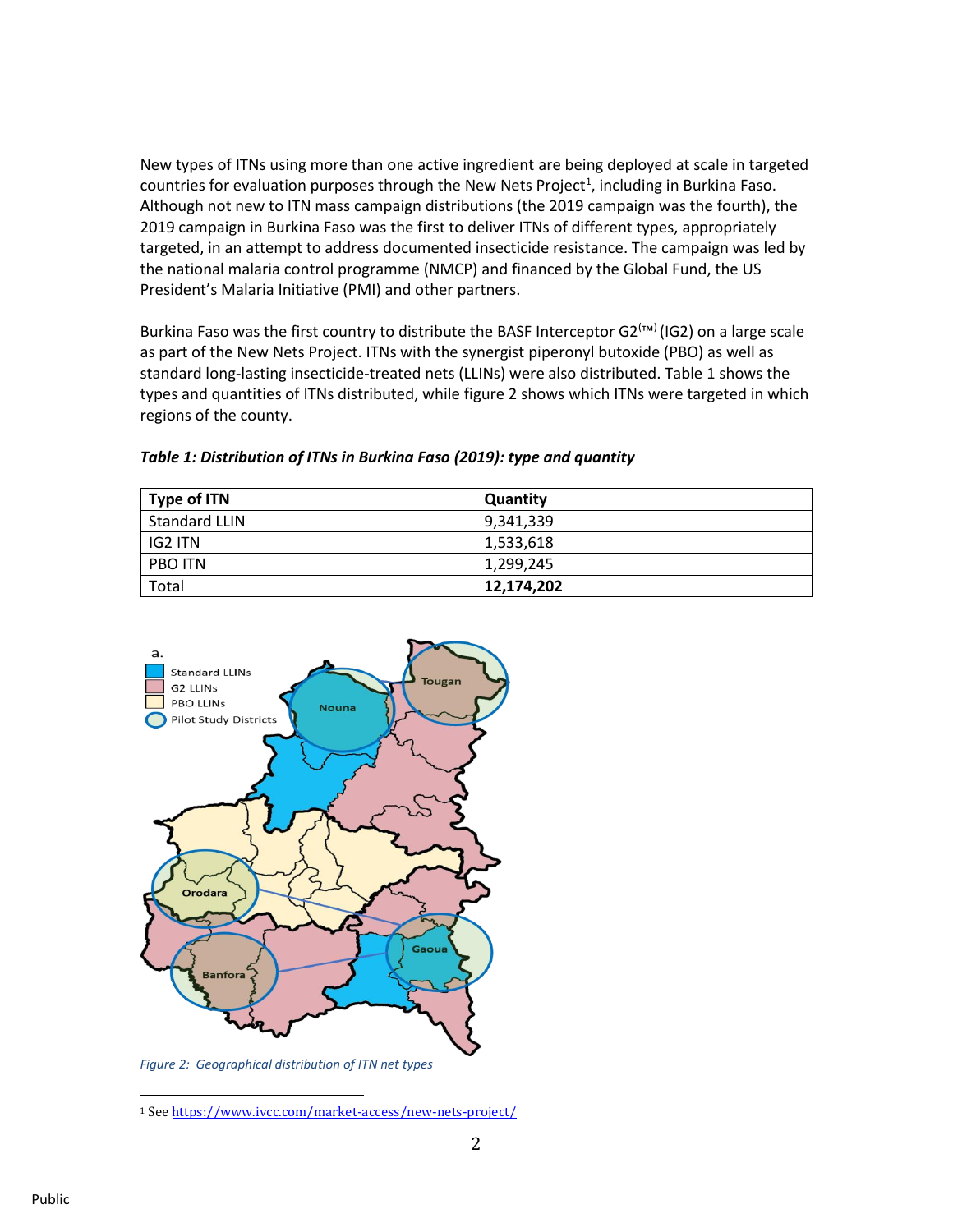New types of ITNs using more than one active ingredient are being deployed at scale in targeted countries for evaluation purposes through the New Nets Project<sup>1</sup>, including in Burkina Faso. Although not new to ITN mass campaign distributions (the 2019 campaign was the fourth), the 2019 campaign in Burkina Faso was the first to deliver ITNs of different types, appropriately targeted, in an attempt to address documented insecticide resistance. The campaign was led by the national malaria control programme (NMCP) and financed by the Global Fund, the US President's Malaria Initiative (PMI) and other partners.

Burkina Faso was the first country to distribute the BASF Interceptor G2<sup>(™)</sup> (IG2) on a large scale as part of the New Nets Project. ITNs with the synergist piperonyl butoxide (PBO) as well as standard long-lasting insecticide-treated nets (LLINs) were also distributed. Table 1 shows the types and quantities of ITNs distributed, while figure 2 shows which ITNs were targeted in which regions of the county.

| Type of ITN          | Quantity   |
|----------------------|------------|
| <b>Standard LLIN</b> | 9,341,339  |
| IG2 ITN              | 1,533,618  |
| <b>PBO ITN</b>       | 1.299.245  |
| Total                | 12,174,202 |

*Table 1: Distribution of ITNs in Burkina Faso (2019): type and quantity*



*Figure 2: Geographical distribution of ITN net types*

<sup>1</sup> Se[e https://www.ivcc.com/market-access/new-nets-project/](https://www.ivcc.com/market-access/new-nets-project/)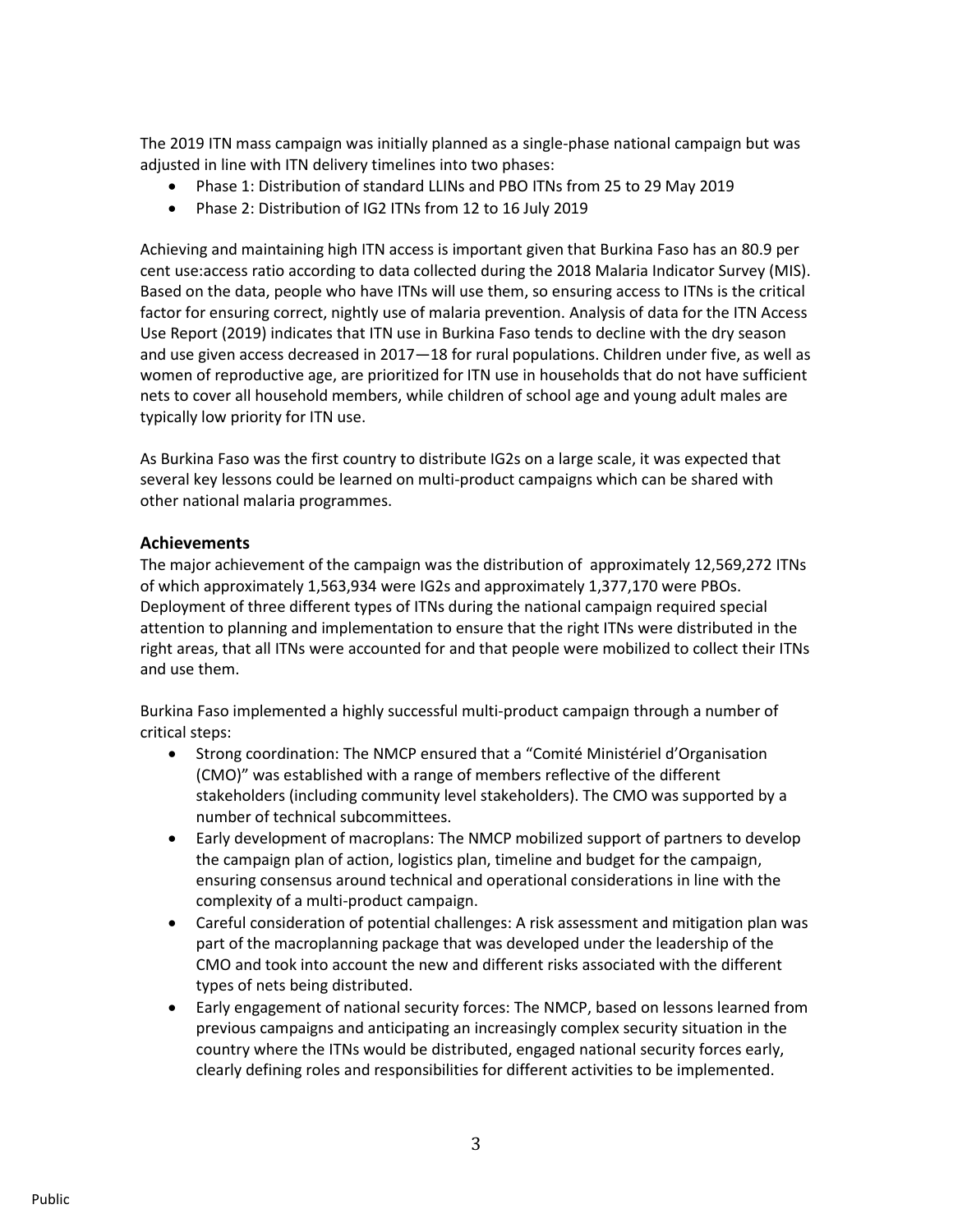The 2019 ITN mass campaign was initially planned as a single-phase national campaign but was adjusted in line with ITN delivery timelines into two phases:

- Phase 1: Distribution of standard LLINs and PBO ITNs from 25 to 29 May 2019
- Phase 2: Distribution of IG2 ITNs from 12 to 16 July 2019

Achieving and maintaining high ITN access is important given that Burkina Faso has an 80.9 per cent use:access ratio according to data collected during the 2018 Malaria Indicator Survey (MIS). Based on the data, people who have ITNs will use them, so ensuring access to ITNs is the critical factor for ensuring correct, nightly use of malaria prevention. Analysis of data for the ITN Access Use Report (2019) indicates that ITN use in Burkina Faso tends to decline with the dry season and use given access decreased in 2017—18 for rural populations. Children under five, as well as women of reproductive age, are prioritized for ITN use in households that do not have sufficient nets to cover all household members, while children of school age and young adult males are typically low priority for ITN use.

As Burkina Faso was the first country to distribute IG2s on a large scale, it was expected that several key lessons could be learned on multi-product campaigns which can be shared with other national malaria programmes.

## **Achievements**

The major achievement of the campaign was the distribution of approximately 12,569,272 ITNs of which approximately 1,563,934 were IG2s and approximately 1,377,170 were PBOs. Deployment of three different types of ITNs during the national campaign required special attention to planning and implementation to ensure that the right ITNs were distributed in the right areas, that all ITNs were accounted for and that people were mobilized to collect their ITNs and use them.

Burkina Faso implemented a highly successful multi-product campaign through a number of critical steps:

- Strong coordination: The NMCP ensured that a "Comité Ministériel d'Organisation (CMO)" was established with a range of members reflective of the different stakeholders (including community level stakeholders). The CMO was supported by a number of technical subcommittees.
- Early development of macroplans: The NMCP mobilized support of partners to develop the campaign plan of action, logistics plan, timeline and budget for the campaign, ensuring consensus around technical and operational considerations in line with the complexity of a multi-product campaign.
- Careful consideration of potential challenges: A risk assessment and mitigation plan was part of the macroplanning package that was developed under the leadership of the CMO and took into account the new and different risks associated with the different types of nets being distributed.
- Early engagement of national security forces: The NMCP, based on lessons learned from previous campaigns and anticipating an increasingly complex security situation in the country where the ITNs would be distributed, engaged national security forces early, clearly defining roles and responsibilities for different activities to be implemented.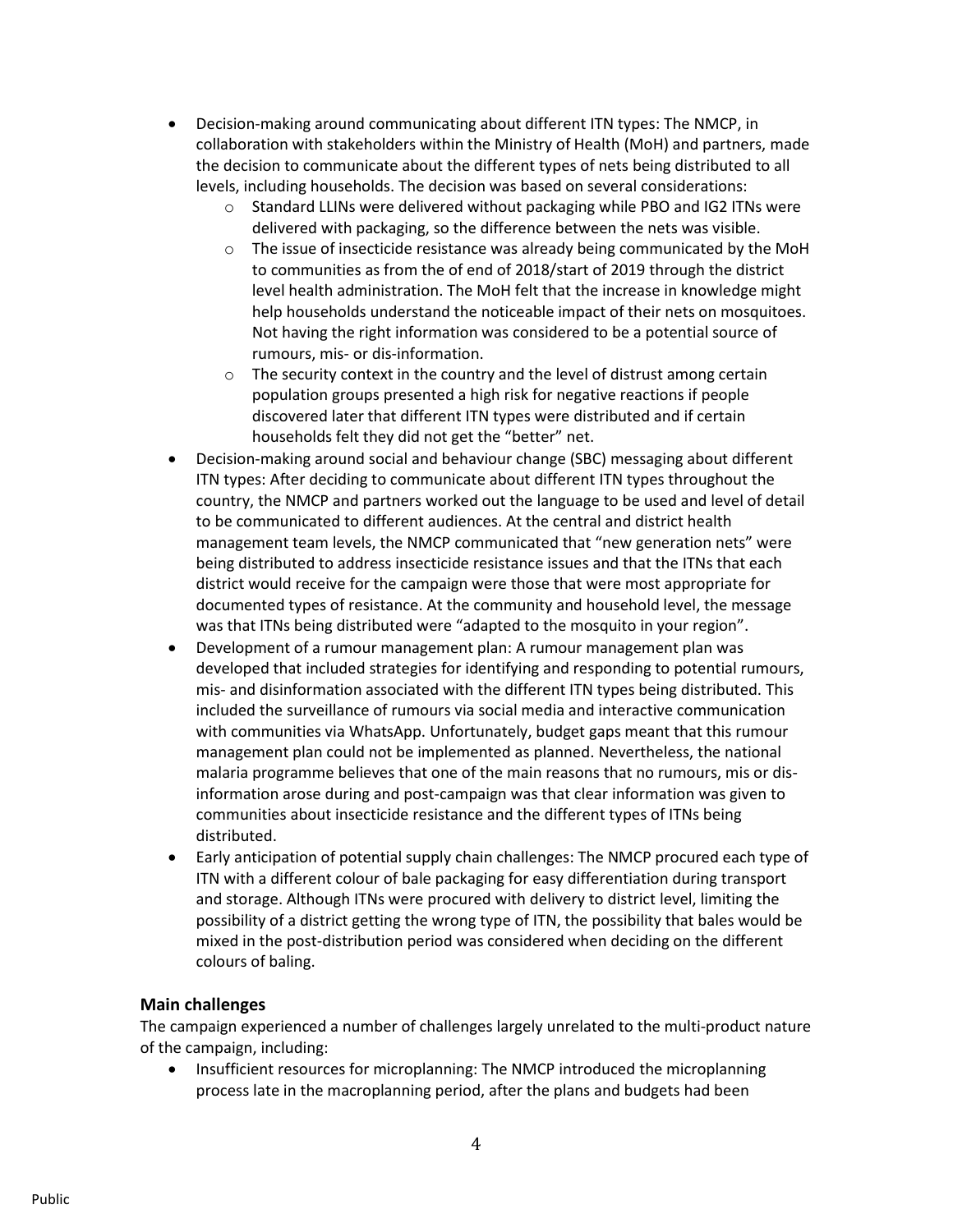- Decision-making around communicating about different ITN types: The NMCP, in collaboration with stakeholders within the Ministry of Health (MoH) and partners, made the decision to communicate about the different types of nets being distributed to all levels, including households. The decision was based on several considerations:
	- o Standard LLINs were delivered without packaging while PBO and IG2 ITNs were delivered with packaging, so the difference between the nets was visible.
	- o The issue of insecticide resistance was already being communicated by the MoH to communities as from the of end of 2018/start of 2019 through the district level health administration. The MoH felt that the increase in knowledge might help households understand the noticeable impact of their nets on mosquitoes. Not having the right information was considered to be a potential source of rumours, mis- or dis-information.
	- $\circ$  The security context in the country and the level of distrust among certain population groups presented a high risk for negative reactions if people discovered later that different ITN types were distributed and if certain households felt they did not get the "better" net.
- Decision-making around social and behaviour change (SBC) messaging about different ITN types: After deciding to communicate about different ITN types throughout the country, the NMCP and partners worked out the language to be used and level of detail to be communicated to different audiences. At the central and district health management team levels, the NMCP communicated that "new generation nets" were being distributed to address insecticide resistance issues and that the ITNs that each district would receive for the campaign were those that were most appropriate for documented types of resistance. At the community and household level, the message was that ITNs being distributed were "adapted to the mosquito in your region".
- Development of a rumour management plan: A rumour management plan was developed that included strategies for identifying and responding to potential rumours, mis- and disinformation associated with the different ITN types being distributed. This included the surveillance of rumours via social media and interactive communication with communities via WhatsApp. Unfortunately, budget gaps meant that this rumour management plan could not be implemented as planned. Nevertheless, the national malaria programme believes that one of the main reasons that no rumours, mis or disinformation arose during and post-campaign was that clear information was given to communities about insecticide resistance and the different types of ITNs being distributed.
- Early anticipation of potential supply chain challenges: The NMCP procured each type of ITN with a different colour of bale packaging for easy differentiation during transport and storage. Although ITNs were procured with delivery to district level, limiting the possibility of a district getting the wrong type of ITN, the possibility that bales would be mixed in the post-distribution period was considered when deciding on the different colours of baling.

# **Main challenges**

The campaign experienced a number of challenges largely unrelated to the multi-product nature of the campaign, including:

• Insufficient resources for microplanning: The NMCP introduced the microplanning process late in the macroplanning period, after the plans and budgets had been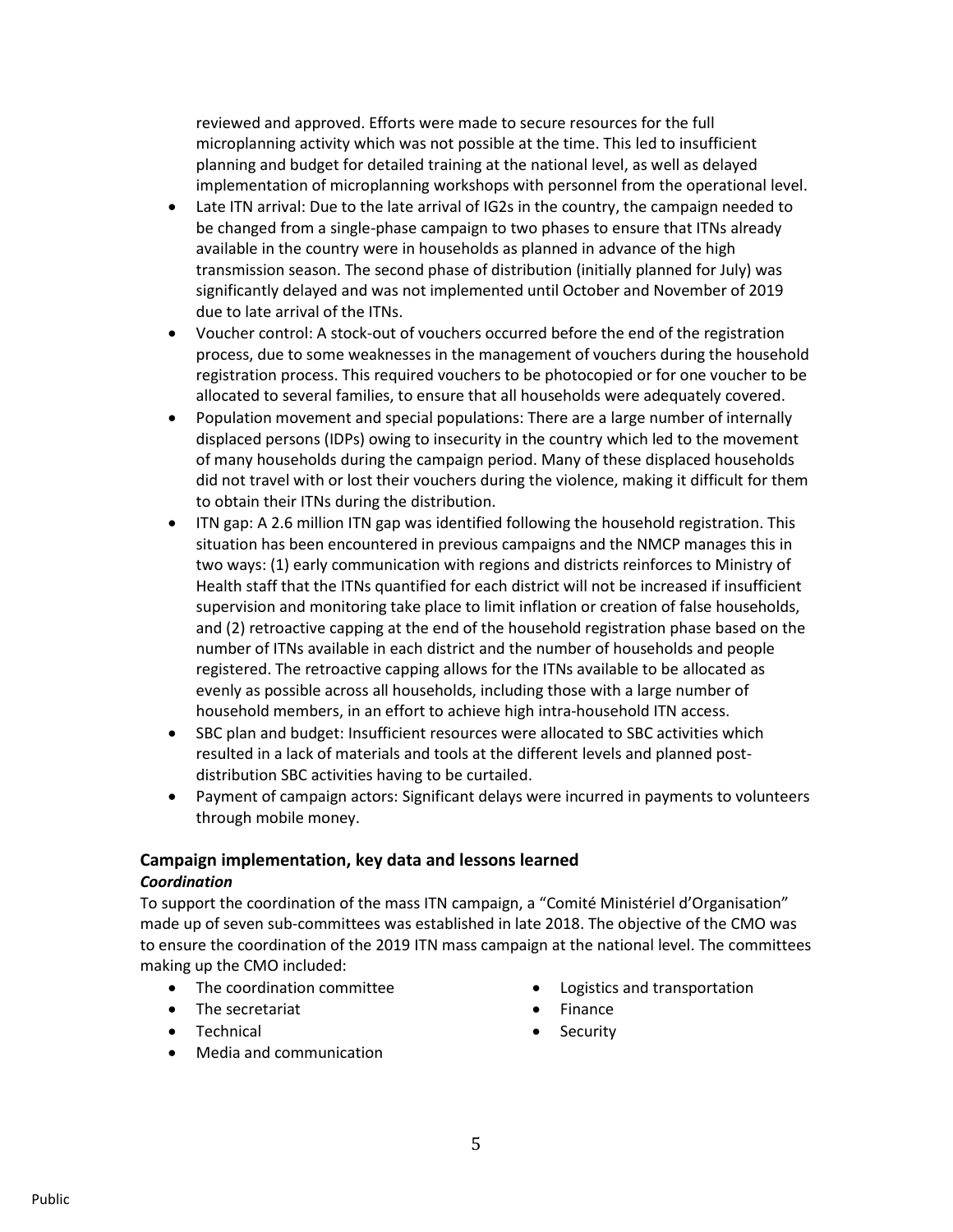reviewed and approved. Efforts were made to secure resources for the full microplanning activity which was not possible at the time. This led to insufficient planning and budget for detailed training at the national level, as well as delayed implementation of microplanning workshops with personnel from the operational level.

- Late ITN arrival: Due to the late arrival of IG2s in the country, the campaign needed to be changed from a single-phase campaign to two phases to ensure that ITNs already available in the country were in households as planned in advance of the high transmission season. The second phase of distribution (initially planned for July) was significantly delayed and was not implemented until October and November of 2019 due to late arrival of the ITNs.
- Voucher control: A stock-out of vouchers occurred before the end of the registration process, due to some weaknesses in the management of vouchers during the household registration process. This required vouchers to be photocopied or for one voucher to be allocated to several families, to ensure that all households were adequately covered.
- Population movement and special populations: There are a large number of internally displaced persons (IDPs) owing to insecurity in the country which led to the movement of many households during the campaign period. Many of these displaced households did not travel with or lost their vouchers during the violence, making it difficult for them to obtain their ITNs during the distribution.
- ITN gap: A 2.6 million ITN gap was identified following the household registration. This situation has been encountered in previous campaigns and the NMCP manages this in two ways: (1) early communication with regions and districts reinforces to Ministry of Health staff that the ITNs quantified for each district will not be increased if insufficient supervision and monitoring take place to limit inflation or creation of false households, and (2) retroactive capping at the end of the household registration phase based on the number of ITNs available in each district and the number of households and people registered. The retroactive capping allows for the ITNs available to be allocated as evenly as possible across all households, including those with a large number of household members, in an effort to achieve high intra-household ITN access.
- SBC plan and budget: Insufficient resources were allocated to SBC activities which resulted in a lack of materials and tools at the different levels and planned postdistribution SBC activities having to be curtailed.
- Payment of campaign actors: Significant delays were incurred in payments to volunteers through mobile money.

# **Campaign implementation, key data and lessons learned**

#### *Coordination*

To support the coordination of the mass ITN campaign, a "Comité Ministériel d'Organisation" made up of seven sub-committees was established in late 2018. The objective of the CMO was to ensure the coordination of the 2019 ITN mass campaign at the national level. The committees making up the CMO included:

- The coordination committee
- The secretariat
- Logistics and transportation
- **Finance**
- Technical
- Media and communication

• Security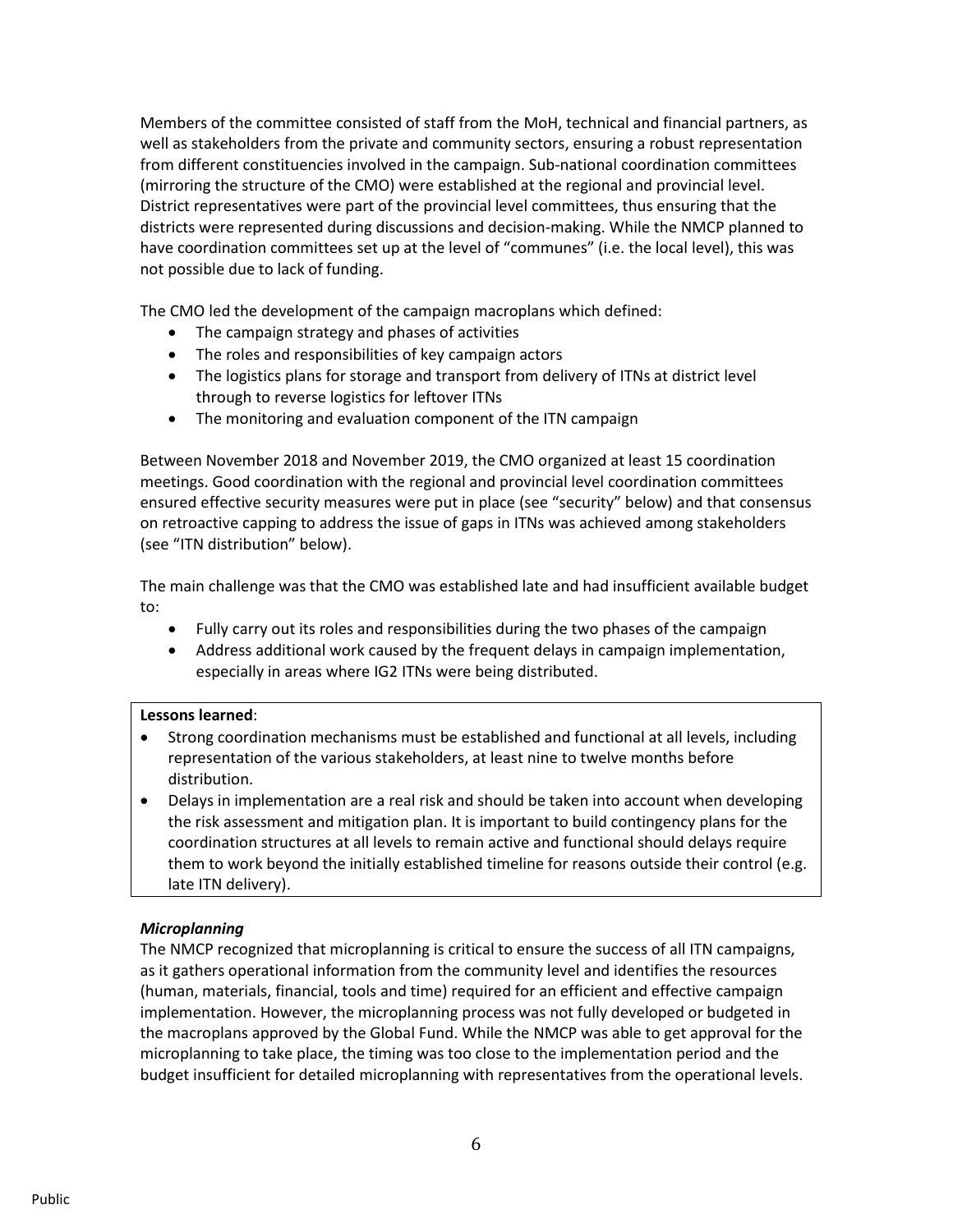Members of the committee consisted of staff from the MoH, technical and financial partners, as well as stakeholders from the private and community sectors, ensuring a robust representation from different constituencies involved in the campaign. Sub-national coordination committees (mirroring the structure of the CMO) were established at the regional and provincial level. District representatives were part of the provincial level committees, thus ensuring that the districts were represented during discussions and decision-making. While the NMCP planned to have coordination committees set up at the level of "communes" (i.e. the local level), this was not possible due to lack of funding.

The CMO led the development of the campaign macroplans which defined:

- The campaign strategy and phases of activities
- The roles and responsibilities of key campaign actors
- The logistics plans for storage and transport from delivery of ITNs at district level through to reverse logistics for leftover ITNs
- The monitoring and evaluation component of the ITN campaign

Between November 2018 and November 2019, the CMO organized at least 15 coordination meetings. Good coordination with the regional and provincial level coordination committees ensured effective security measures were put in place (see "security" below) and that consensus on retroactive capping to address the issue of gaps in ITNs was achieved among stakeholders (see "ITN distribution" below).

The main challenge was that the CMO was established late and had insufficient available budget to:

- Fully carry out its roles and responsibilities during the two phases of the campaign
- Address additional work caused by the frequent delays in campaign implementation, especially in areas where IG2 ITNs were being distributed.

#### **Lessons learned**:

- Strong coordination mechanisms must be established and functional at all levels, including representation of the various stakeholders, at least nine to twelve months before distribution.
- Delays in implementation are a real risk and should be taken into account when developing the risk assessment and mitigation plan. It is important to build contingency plans for the coordination structures at all levels to remain active and functional should delays require them to work beyond the initially established timeline for reasons outside their control (e.g. late ITN delivery).

#### *Microplanning*

The NMCP recognized that microplanning is critical to ensure the success of all ITN campaigns, as it gathers operational information from the community level and identifies the resources (human, materials, financial, tools and time) required for an efficient and effective campaign implementation. However, the microplanning process was not fully developed or budgeted in the macroplans approved by the Global Fund. While the NMCP was able to get approval for the microplanning to take place, the timing was too close to the implementation period and the budget insufficient for detailed microplanning with representatives from the operational levels.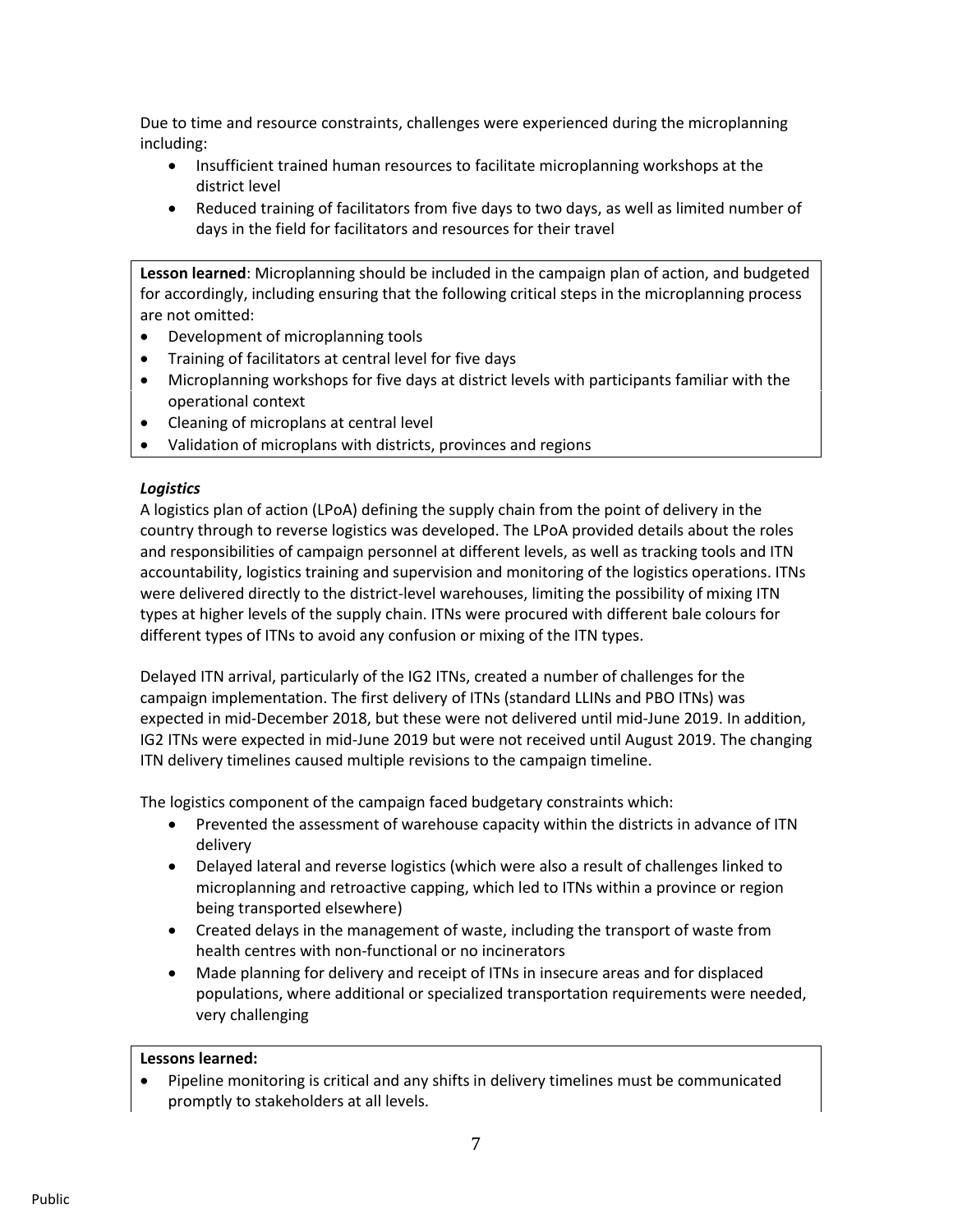Due to time and resource constraints, challenges were experienced during the microplanning including:

- Insufficient trained human resources to facilitate microplanning workshops at the district level
- Reduced training of facilitators from five days to two days, as well as limited number of days in the field for facilitators and resources for their travel

**Lesson learned**: Microplanning should be included in the campaign plan of action, and budgeted for accordingly, including ensuring that the following critical steps in the microplanning process are not omitted:

- Development of microplanning tools
- Training of facilitators at central level for five days
- Microplanning workshops for five days at district levels with participants familiar with the operational context
- Cleaning of microplans at central level
- Validation of microplans with districts, provinces and regions

## *Logistics*

A logistics plan of action (LPoA) defining the supply chain from the point of delivery in the country through to reverse logistics was developed. The LPoA provided details about the roles and responsibilities of campaign personnel at different levels, as well as tracking tools and ITN accountability, logistics training and supervision and monitoring of the logistics operations. ITNs were delivered directly to the district-level warehouses, limiting the possibility of mixing ITN types at higher levels of the supply chain. ITNs were procured with different bale colours for different types of ITNs to avoid any confusion or mixing of the ITN types.

Delayed ITN arrival, particularly of the IG2 ITNs, created a number of challenges for the campaign implementation. The first delivery of ITNs (standard LLINs and PBO ITNs) was expected in mid-December 2018, but these were not delivered until mid-June 2019. In addition, IG2 ITNs were expected in mid-June 2019 but were not received until August 2019. The changing ITN delivery timelines caused multiple revisions to the campaign timeline.

The logistics component of the campaign faced budgetary constraints which:

- Prevented the assessment of warehouse capacity within the districts in advance of ITN delivery
- Delayed lateral and reverse logistics (which were also a result of challenges linked to microplanning and retroactive capping, which led to ITNs within a province or region being transported elsewhere)
- Created delays in the management of waste, including the transport of waste from health centres with non-functional or no incinerators
- Made planning for delivery and receipt of ITNs in insecure areas and for displaced populations, where additional or specialized transportation requirements were needed, very challenging

#### **Lessons learned:**

• Pipeline monitoring is critical and any shifts in delivery timelines must be communicated promptly to stakeholders at all levels.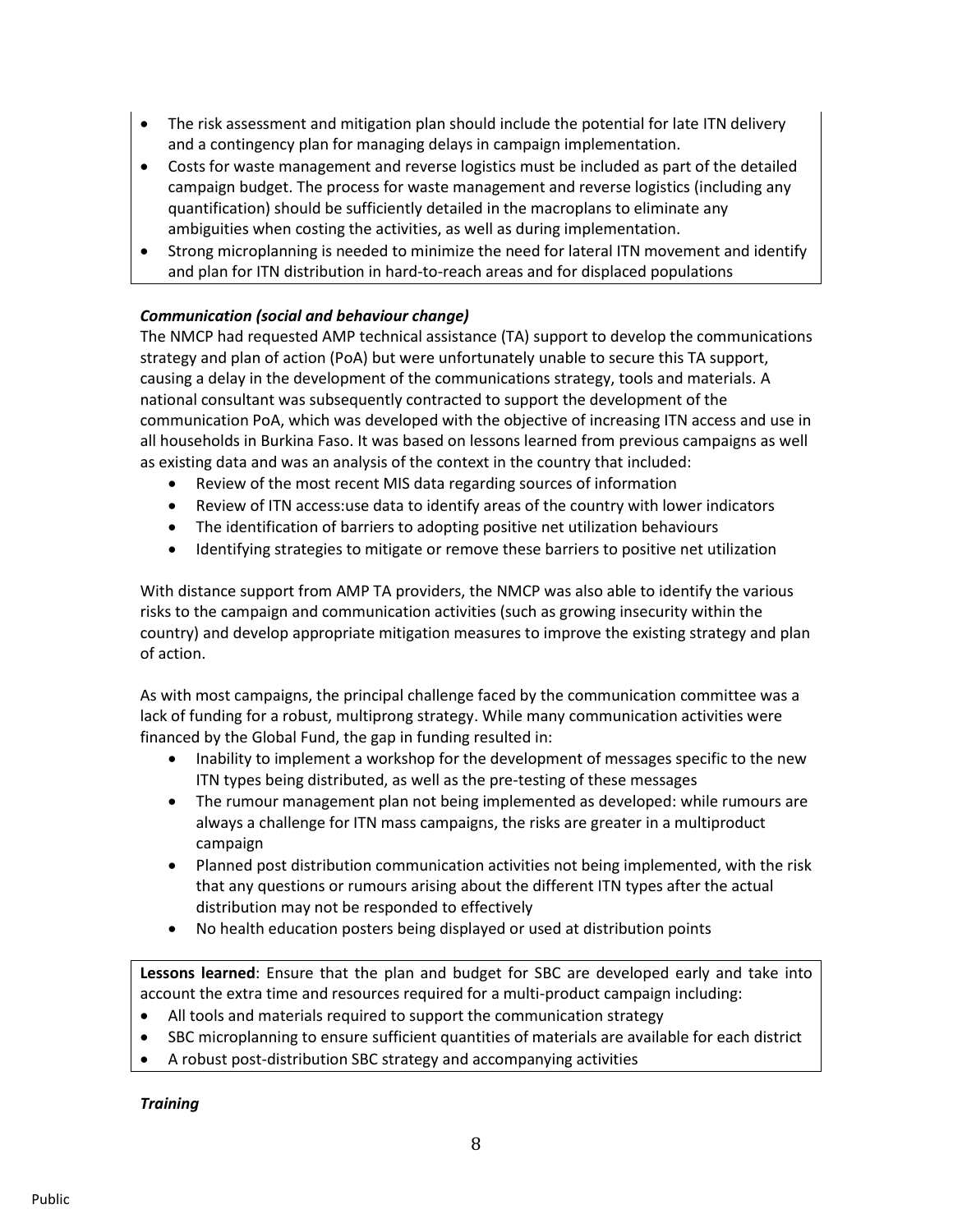- The risk assessment and mitigation plan should include the potential for late ITN delivery and a contingency plan for managing delays in campaign implementation.
- Costs for waste management and reverse logistics must be included as part of the detailed campaign budget. The process for waste management and reverse logistics (including any quantification) should be sufficiently detailed in the macroplans to eliminate any ambiguities when costing the activities, as well as during implementation.
- Strong microplanning is needed to minimize the need for lateral ITN movement and identify and plan for ITN distribution in hard-to-reach areas and for displaced populations

# *Communication (social and behaviour change)*

The NMCP had requested AMP technical assistance (TA) support to develop the communications strategy and plan of action (PoA) but were unfortunately unable to secure this TA support, causing a delay in the development of the communications strategy, tools and materials. A national consultant was subsequently contracted to support the development of the communication PoA, which was developed with the objective of increasing ITN access and use in all households in Burkina Faso. It was based on lessons learned from previous campaigns as well as existing data and was an analysis of the context in the country that included:

- Review of the most recent MIS data regarding sources of information
- Review of ITN access:use data to identify areas of the country with lower indicators
- The identification of barriers to adopting positive net utilization behaviours
- Identifying strategies to mitigate or remove these barriers to positive net utilization

With distance support from AMP TA providers, the NMCP was also able to identify the various risks to the campaign and communication activities (such as growing insecurity within the country) and develop appropriate mitigation measures to improve the existing strategy and plan of action.

As with most campaigns, the principal challenge faced by the communication committee was a lack of funding for a robust, multiprong strategy. While many communication activities were financed by the Global Fund, the gap in funding resulted in:

- Inability to implement a workshop for the development of messages specific to the new ITN types being distributed, as well as the pre-testing of these messages
- The rumour management plan not being implemented as developed: while rumours are always a challenge for ITN mass campaigns, the risks are greater in a multiproduct campaign
- Planned post distribution communication activities not being implemented, with the risk that any questions or rumours arising about the different ITN types after the actual distribution may not be responded to effectively
- No health education posters being displayed or used at distribution points

**Lessons learned**: Ensure that the plan and budget for SBC are developed early and take into account the extra time and resources required for a multi-product campaign including:

- All tools and materials required to support the communication strategy
- SBC microplanning to ensure sufficient quantities of materials are available for each district
- A robust post-distribution SBC strategy and accompanying activities

*Training*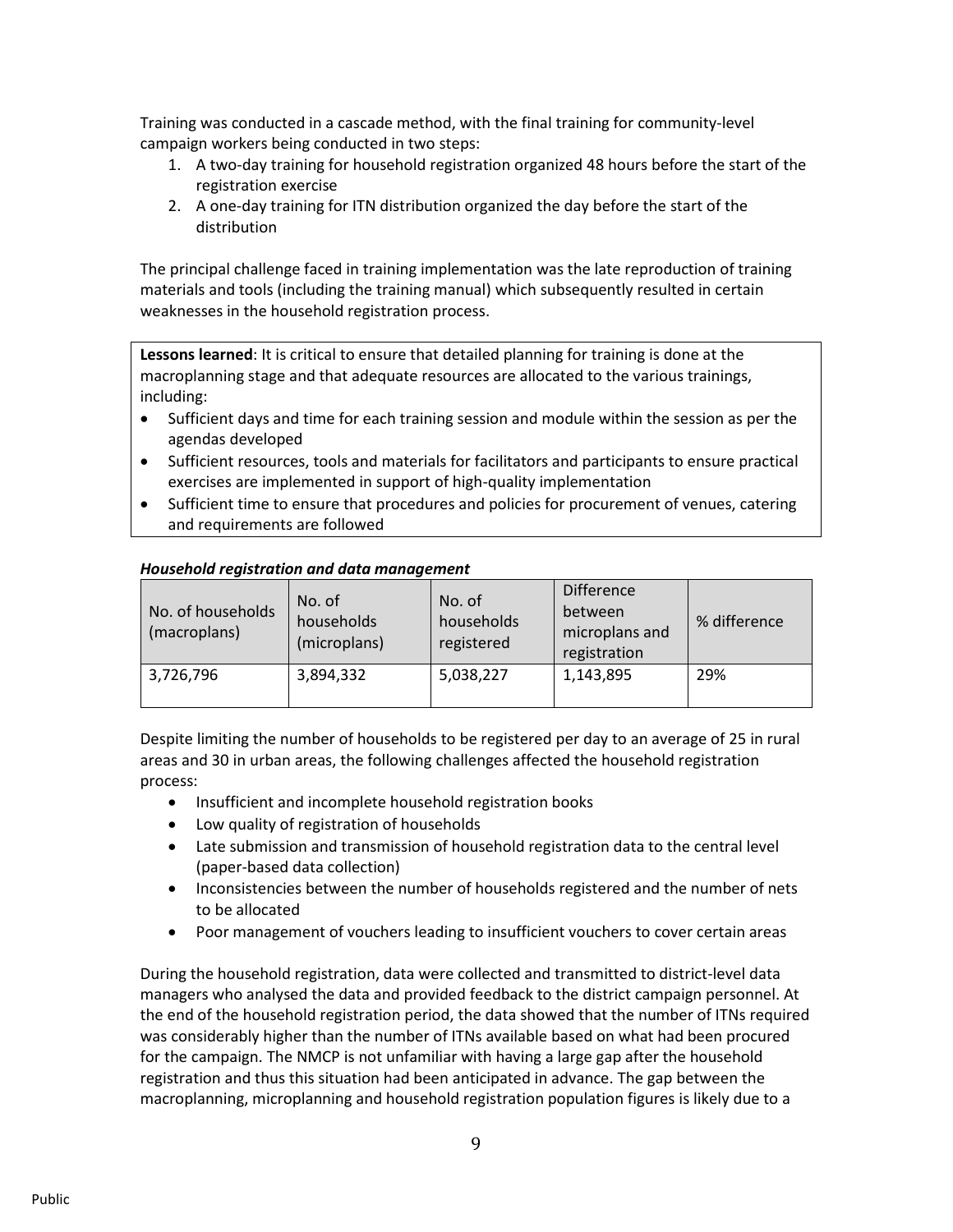Training was conducted in a cascade method, with the final training for community-level campaign workers being conducted in two steps:

- 1. A two-day training for household registration organized 48 hours before the start of the registration exercise
- 2. A one-day training for ITN distribution organized the day before the start of the distribution

The principal challenge faced in training implementation was the late reproduction of training materials and tools (including the training manual) which subsequently resulted in certain weaknesses in the household registration process.

**Lessons learned**: It is critical to ensure that detailed planning for training is done at the macroplanning stage and that adequate resources are allocated to the various trainings, including:

- Sufficient days and time for each training session and module within the session as per the agendas developed
- Sufficient resources, tools and materials for facilitators and participants to ensure practical exercises are implemented in support of high-quality implementation
- Sufficient time to ensure that procedures and policies for procurement of venues, catering and requirements are followed

| No. of households<br>(macroplans) | No. of<br>households<br>(microplans) | No. of<br>households<br>registered | <b>Difference</b><br>between<br>microplans and<br>registration | % difference |
|-----------------------------------|--------------------------------------|------------------------------------|----------------------------------------------------------------|--------------|
| 3,726,796                         | 3,894,332                            | 5,038,227                          | 1,143,895                                                      | 29%          |

## *Household registration and data management*

Despite limiting the number of households to be registered per day to an average of 25 in rural areas and 30 in urban areas, the following challenges affected the household registration process:

- Insufficient and incomplete household registration books
- Low quality of registration of households
- Late submission and transmission of household registration data to the central level (paper-based data collection)
- Inconsistencies between the number of households registered and the number of nets to be allocated
- Poor management of vouchers leading to insufficient vouchers to cover certain areas

During the household registration, data were collected and transmitted to district-level data managers who analysed the data and provided feedback to the district campaign personnel. At the end of the household registration period, the data showed that the number of ITNs required was considerably higher than the number of ITNs available based on what had been procured for the campaign. The NMCP is not unfamiliar with having a large gap after the household registration and thus this situation had been anticipated in advance. The gap between the macroplanning, microplanning and household registration population figures is likely due to a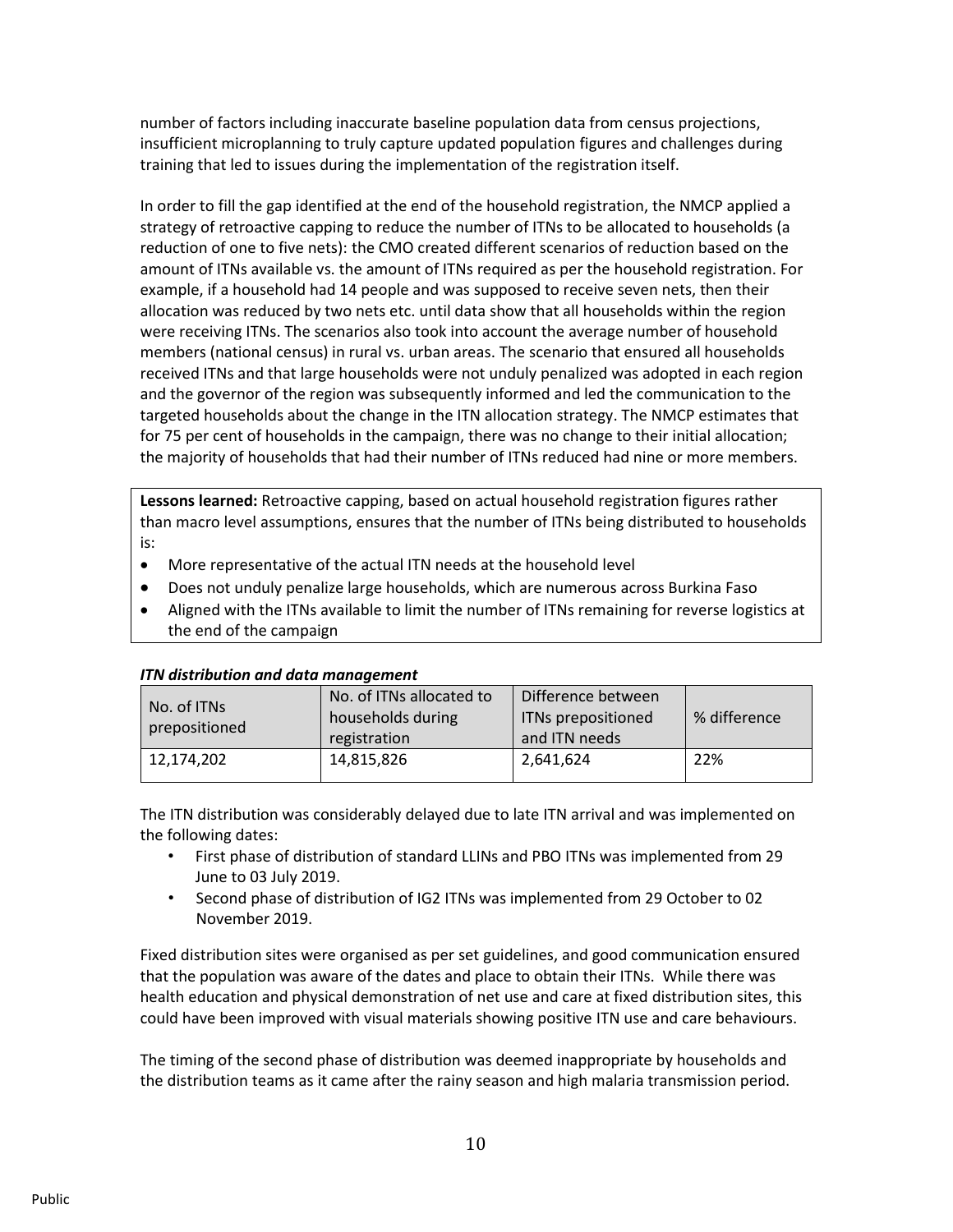number of factors including inaccurate baseline population data from census projections, insufficient microplanning to truly capture updated population figures and challenges during training that led to issues during the implementation of the registration itself.

In order to fill the gap identified at the end of the household registration, the NMCP applied a strategy of retroactive capping to reduce the number of ITNs to be allocated to households (a reduction of one to five nets): the CMO created different scenarios of reduction based on the amount of ITNs available vs. the amount of ITNs required as per the household registration. For example, if a household had 14 people and was supposed to receive seven nets, then their allocation was reduced by two nets etc. until data show that all households within the region were receiving ITNs. The scenarios also took into account the average number of household members (national census) in rural vs. urban areas. The scenario that ensured all households received ITNs and that large households were not unduly penalized was adopted in each region and the governor of the region was subsequently informed and led the communication to the targeted households about the change in the ITN allocation strategy. The NMCP estimates that for 75 per cent of households in the campaign, there was no change to their initial allocation; the majority of households that had their number of ITNs reduced had nine or more members.

**Lessons learned:** Retroactive capping, based on actual household registration figures rather than macro level assumptions, ensures that the number of ITNs being distributed to households is:

- More representative of the actual ITN needs at the household level
- Does not unduly penalize large households, which are numerous across Burkina Faso
- Aligned with the ITNs available to limit the number of ITNs remaining for reverse logistics at the end of the campaign

| No. of ITNs   | No. of ITNs allocated to | Difference between |              |  |  |
|---------------|--------------------------|--------------------|--------------|--|--|
| prepositioned | households during        | ITNs prepositioned | % difference |  |  |
|               | registration             | and ITN needs      |              |  |  |
| 12,174,202    | 14,815,826               | 2,641,624          | 22%          |  |  |
|               |                          |                    |              |  |  |

#### *ITN distribution and data management*

The ITN distribution was considerably delayed due to late ITN arrival and was implemented on the following dates:

- First phase of distribution of standard LLINs and PBO ITNs was implemented from 29 June to 03 July 2019.
- Second phase of distribution of IG2 ITNs was implemented from 29 October to 02 November 2019.

Fixed distribution sites were organised as per set guidelines, and good communication ensured that the population was aware of the dates and place to obtain their ITNs. While there was health education and physical demonstration of net use and care at fixed distribution sites, this could have been improved with visual materials showing positive ITN use and care behaviours.

The timing of the second phase of distribution was deemed inappropriate by households and the distribution teams as it came after the rainy season and high malaria transmission period.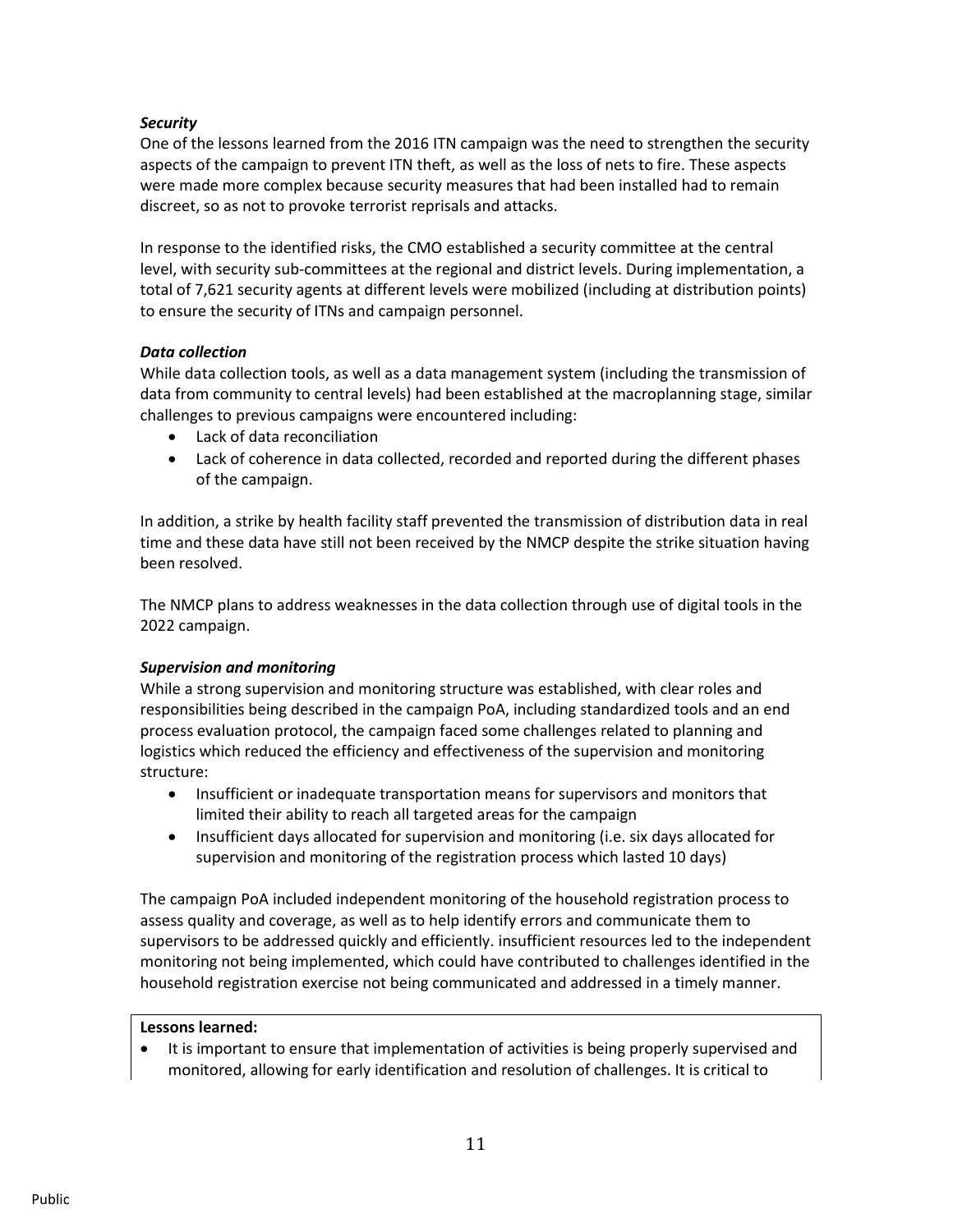# *Security*

One of the lessons learned from the 2016 ITN campaign was the need to strengthen the security aspects of the campaign to prevent ITN theft, as well as the loss of nets to fire. These aspects were made more complex because security measures that had been installed had to remain discreet, so as not to provoke terrorist reprisals and attacks.

In response to the identified risks, the CMO established a security committee at the central level, with security sub-committees at the regional and district levels. During implementation, a total of 7,621 security agents at different levels were mobilized (including at distribution points) to ensure the security of ITNs and campaign personnel.

## *Data collection*

While data collection tools, as well as a data management system (including the transmission of data from community to central levels) had been established at the macroplanning stage, similar challenges to previous campaigns were encountered including:

- Lack of data reconciliation
- Lack of coherence in data collected, recorded and reported during the different phases of the campaign.

In addition, a strike by health facility staff prevented the transmission of distribution data in real time and these data have still not been received by the NMCP despite the strike situation having been resolved.

The NMCP plans to address weaknesses in the data collection through use of digital tools in the 2022 campaign.

# *Supervision and monitoring*

While a strong supervision and monitoring structure was established, with clear roles and responsibilities being described in the campaign PoA, including standardized tools and an end process evaluation protocol, the campaign faced some challenges related to planning and logistics which reduced the efficiency and effectiveness of the supervision and monitoring structure:

- Insufficient or inadequate transportation means for supervisors and monitors that limited their ability to reach all targeted areas for the campaign
- Insufficient days allocated for supervision and monitoring (i.e. six days allocated for supervision and monitoring of the registration process which lasted 10 days)

The campaign PoA included independent monitoring of the household registration process to assess quality and coverage, as well as to help identify errors and communicate them to supervisors to be addressed quickly and efficiently. insufficient resources led to the independent monitoring not being implemented, which could have contributed to challenges identified in the household registration exercise not being communicated and addressed in a timely manner.

#### **Lessons learned:**

• It is important to ensure that implementation of activities is being properly supervised and monitored, allowing for early identification and resolution of challenges. It is critical to